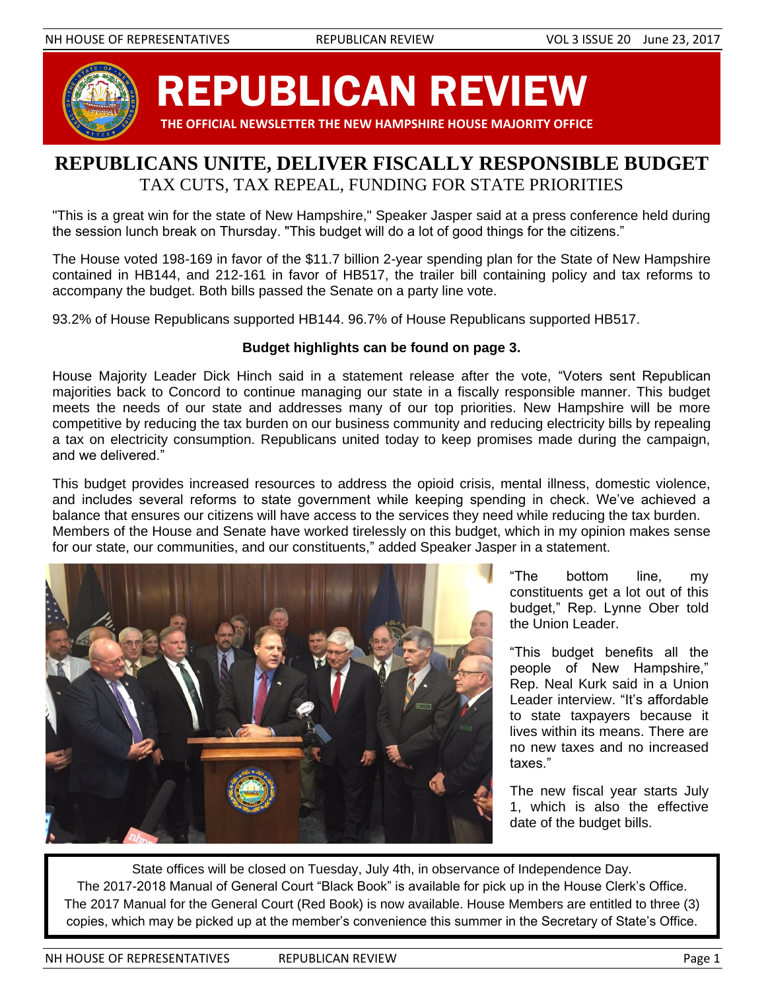

# REPUBLICAN REVIEW

 **THE OFFICIAL NEWSLETTER THE NEW HAMPSHIRE HOUSE MAJORITY OFFICE**

# **REPUBLICANS UNITE, DELIVER FISCALLY RESPONSIBLE BUDGET** TAX CUTS, TAX REPEAL, FUNDING FOR STATE PRIORITIES

"This is a great win for the state of New Hampshire," Speaker Jasper said at a press conference held during the session lunch break on Thursday. "This budget will do a lot of good things for the citizens."

The House voted 198-169 in favor of the \$11.7 billion 2-year spending plan for the State of New Hampshire contained in HB144, and 212-161 in favor of HB517, the trailer bill containing policy and tax reforms to accompany the budget. Both bills passed the Senate on a party line vote.

93.2% of House Republicans supported HB144. 96.7% of House Republicans supported HB517.

# **Budget highlights can be found on page 3.**

House Majority Leader Dick Hinch said in a statement release after the vote, "Voters sent Republican majorities back to Concord to continue managing our state in a fiscally responsible manner. This budget meets the needs of our state and addresses many of our top priorities. New Hampshire will be more competitive by reducing the tax burden on our business community and reducing electricity bills by repealing a tax on electricity consumption. Republicans united today to keep promises made during the campaign, and we delivered."

This budget provides increased resources to address the opioid crisis, mental illness, domestic violence, and includes several reforms to state government while keeping spending in check. We've achieved a balance that ensures our citizens will have access to the services they need while reducing the tax burden. Members of the House and Senate have worked tirelessly on this budget, which in my opinion makes sense for our state, our communities, and our constituents," added Speaker Jasper in a statement.



"The bottom line, my constituents get a lot out of this budget," Rep. Lynne Ober told the Union Leader.

"This budget benefits all the people of New Hampshire," Rep. Neal Kurk said in a Union Leader interview. "It's affordable to state taxpayers because it lives within its means. There are no new taxes and no increased taxes."

The new fiscal year starts July 1, which is also the effective date of the budget bills.

State offices will be closed on Tuesday, July 4th, in observance of Independence Day. The 2017-2018 Manual of General Court "Black Book" is available for pick up in the House Clerk's Office. The 2017 Manual for the General Court (Red Book) is now available. House Members are entitled to three (3) copies, which may be picked up at the member's convenience this summer in the Secretary of State's Office.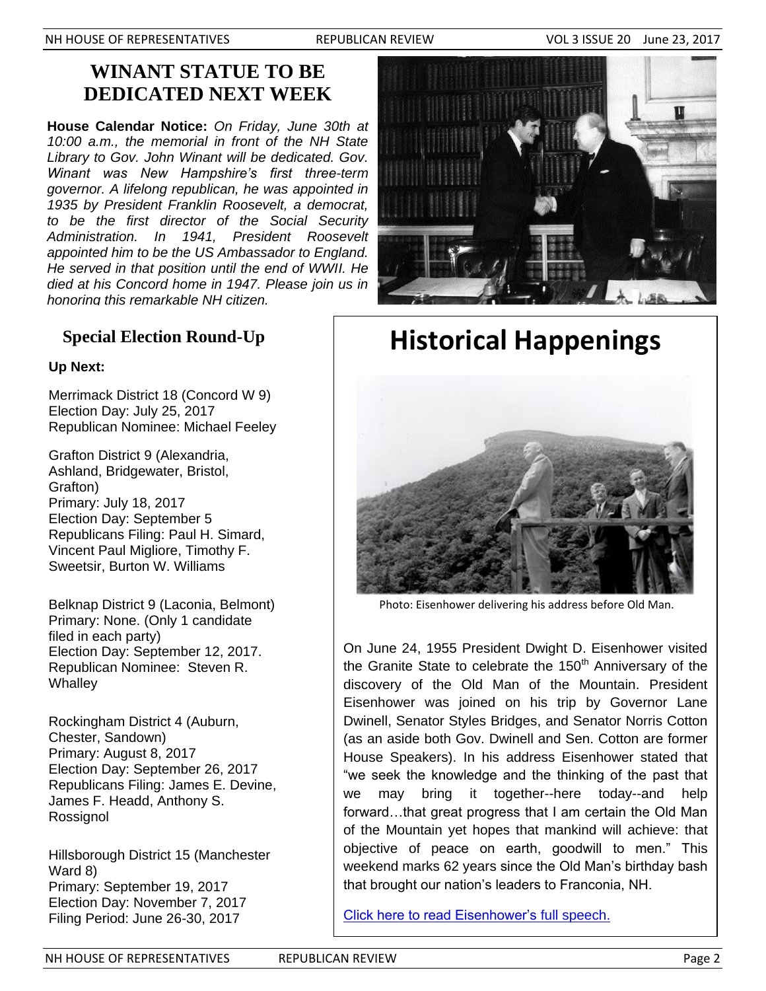# **WINANT STATUE TO BE DEDICATED NEXT WEEK**

**House Calendar Notice:** *On Friday, June 30th at 10:00 a.m., the memorial in front of the NH State Library to Gov. John Winant will be dedicated. Gov. Winant was New Hampshire's first three-term governor. A lifelong republican, he was appointed in 1935 by President Franklin Roosevelt, a democrat, to be the first director of the Social Security Administration. In 1941, President Roosevelt appointed him to be the US Ambassador to England. He served in that position until the end of WWII. He died at his Concord home in 1947. Please join us in honoring this remarkable NH citizen.*

# **Special Election Round-Up**

# **Up Next:**

Merrimack District 18 (Concord W 9) Election Day: July 25, 2017 Republican Nominee: Michael Feeley

Grafton District 9 (Alexandria, Ashland, Bridgewater, Bristol, Grafton) Primary: July 18, 2017 Election Day: September 5 Republicans Filing: Paul H. Simard, Vincent Paul Migliore, Timothy F. Sweetsir, Burton W. Williams

Belknap District 9 (Laconia, Belmont) Primary: None. (Only 1 candidate filed in each party) Election Day: September 12, 2017. Republican Nominee: Steven R. **Whalley** 

Rockingham District 4 (Auburn, Chester, Sandown) Primary: August 8, 2017 Election Day: September 26, 2017 Republicans Filing: James E. Devine, James F. Headd, Anthony S. Rossignol

Hillsborough District 15 (Manchester Ward 8) Primary: September 19, 2017 Election Day: November 7, 2017 Filing Period: June 26-30, 2017



**Historical Happenings**



Photo: Eisenhower delivering his address before Old Man.

On June 24, 1955 President Dwight D. Eisenhower visited the Granite State to celebrate the  $150<sup>th</sup>$  Anniversary of the discovery of the Old Man of the Mountain. President Eisenhower was joined on his trip by Governor Lane Dwinell, Senator Styles Bridges, and Senator Norris Cotton (as an aside both Gov. Dwinell and Sen. Cotton are former House Speakers). In his address Eisenhower stated that "we seek the knowledge and the thinking of the past that we may bring it together--here today--and help forward…that great progress that I am certain the Old Man of the Mountain yet hopes that mankind will achieve: that objective of peace on earth, goodwill to men." This weekend marks 62 years since the Old Man's birthday bash that brought our nation's leaders to Franconia, NH.

[Click here to read Eisenhower's](http://www.presidency.ucsb.edu/ws/?pid=10272) full speech.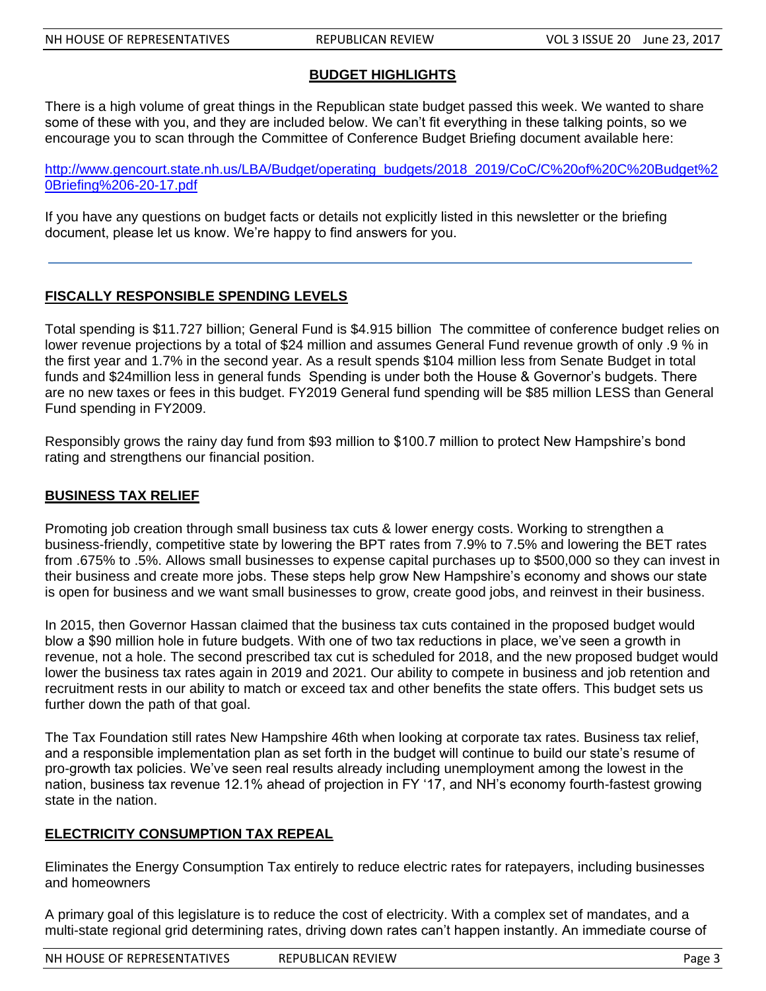# **BUDGET HIGHLIGHTS**

There is a high volume of great things in the Republican state budget passed this week. We wanted to share some of these with you, and they are included below. We can't fit everything in these talking points, so we encourage you to scan through the Committee of Conference Budget Briefing document available here:

[http://www.gencourt.state.nh.us/LBA/Budget/operating\\_budgets/2018\\_2019/CoC/C%20of%20C%20Budget%2](http://www.gencourt.state.nh.us/LBA/Budget/operating_budgets/2018_2019/CoC/C%20of%20C%20Budget%20Briefing%206-20-17.pdf) [0Briefing%206-20-17.pdf](http://www.gencourt.state.nh.us/LBA/Budget/operating_budgets/2018_2019/CoC/C%20of%20C%20Budget%20Briefing%206-20-17.pdf)

If you have any questions on budget facts or details not explicitly listed in this newsletter or the briefing document, please let us know. We're happy to find answers for you.

## **FISCALLY RESPONSIBLE SPENDING LEVELS**

Total spending is \$11.727 billion; General Fund is \$4.915 billion The committee of conference budget relies on lower revenue projections by a total of \$24 million and assumes General Fund revenue growth of only .9 % in the first year and 1.7% in the second year. As a result spends \$104 million less from Senate Budget in total funds and \$24million less in general funds Spending is under both the House & Governor's budgets. There are no new taxes or fees in this budget. FY2019 General fund spending will be \$85 million LESS than General Fund spending in FY2009.

Responsibly grows the rainy day fund from \$93 million to \$100.7 million to protect New Hampshire's bond rating and strengthens our financial position.

# **BUSINESS TAX RELIEF**

Promoting job creation through small business tax cuts & lower energy costs. Working to strengthen a business-friendly, competitive state by lowering the BPT rates from 7.9% to 7.5% and lowering the BET rates from .675% to .5%. Allows small businesses to expense capital purchases up to \$500,000 so they can invest in their business and create more jobs. These steps help grow New Hampshire's economy and shows our state is open for business and we want small businesses to grow, create good jobs, and reinvest in their business.

In 2015, then Governor Hassan claimed that the business tax cuts contained in the proposed budget would blow a \$90 million hole in future budgets. With one of two tax reductions in place, we've seen a growth in revenue, not a hole. The second prescribed tax cut is scheduled for 2018, and the new proposed budget would lower the business tax rates again in 2019 and 2021. Our ability to compete in business and job retention and recruitment rests in our ability to match or exceed tax and other benefits the state offers. This budget sets us further down the path of that goal.

The Tax Foundation still rates New Hampshire 46th when looking at corporate tax rates. Business tax relief, and a responsible implementation plan as set forth in the budget will continue to build our state's resume of pro-growth tax policies. We've seen real results already including unemployment among the lowest in the nation, business tax revenue 12.1% ahead of projection in FY '17, and NH's economy fourth-fastest growing state in the nation.

#### **ELECTRICITY CONSUMPTION TAX REPEAL**

Eliminates the Energy Consumption Tax entirely to reduce electric rates for ratepayers, including businesses and homeowners

A primary goal of this legislature is to reduce the cost of electricity. With a complex set of mandates, and a multi-state regional grid determining rates, driving down rates can't happen instantly. An immediate course of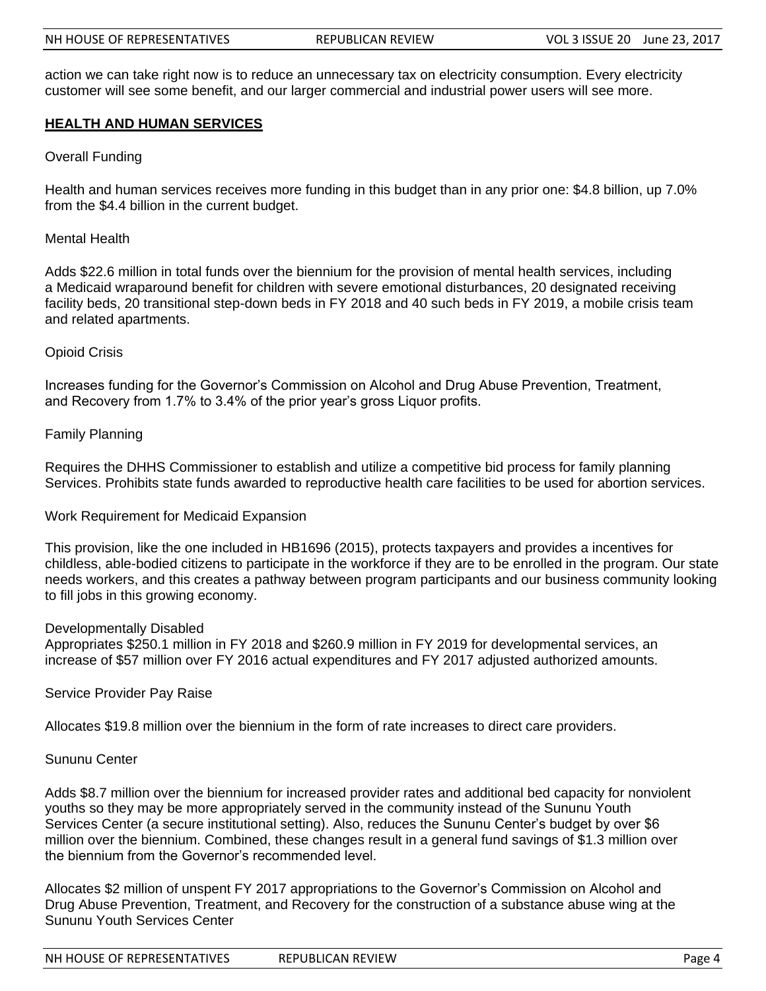action we can take right now is to reduce an unnecessary tax on electricity consumption. Every electricity customer will see some benefit, and our larger commercial and industrial power users will see more.

#### **HEALTH AND HUMAN SERVICES**

#### Overall Funding

Health and human services receives more funding in this budget than in any prior one: \$4.8 billion, up 7.0% from the \$4.4 billion in the current budget.

Mental Health

Adds \$22.6 million in total funds over the biennium for the provision of mental health services, including a Medicaid wraparound benefit for children with severe emotional disturbances, 20 designated receiving facility beds, 20 transitional step-down beds in FY 2018 and 40 such beds in FY 2019, a mobile crisis team and related apartments.

#### Opioid Crisis

Increases funding for the Governor's Commission on Alcohol and Drug Abuse Prevention, Treatment, and Recovery from 1.7% to 3.4% of the prior year's gross Liquor profits.

#### Family Planning

Requires the DHHS Commissioner to establish and utilize a competitive bid process for family planning Services. Prohibits state funds awarded to reproductive health care facilities to be used for abortion services.

#### Work Requirement for Medicaid Expansion

This provision, like the one included in HB1696 (2015), protects taxpayers and provides a incentives for childless, able-bodied citizens to participate in the workforce if they are to be enrolled in the program. Our state needs workers, and this creates a pathway between program participants and our business community looking to fill jobs in this growing economy.

#### Developmentally Disabled

Appropriates \$250.1 million in FY 2018 and \$260.9 million in FY 2019 for developmental services, an increase of \$57 million over FY 2016 actual expenditures and FY 2017 adjusted authorized amounts.

#### Service Provider Pay Raise

Allocates \$19.8 million over the biennium in the form of rate increases to direct care providers.

#### Sununu Center

Adds \$8.7 million over the biennium for increased provider rates and additional bed capacity for nonviolent youths so they may be more appropriately served in the community instead of the Sununu Youth Services Center (a secure institutional setting). Also, reduces the Sununu Center's budget by over \$6 million over the biennium. Combined, these changes result in a general fund savings of \$1.3 million over the biennium from the Governor's recommended level.

Allocates \$2 million of unspent FY 2017 appropriations to the Governor's Commission on Alcohol and Drug Abuse Prevention, Treatment, and Recovery for the construction of a substance abuse wing at the Sununu Youth Services Center

| NH HOUSE OF REPRESENTATIVES | <b>REPUBLICAN REVIEW</b> | Page 4 |
|-----------------------------|--------------------------|--------|
|-----------------------------|--------------------------|--------|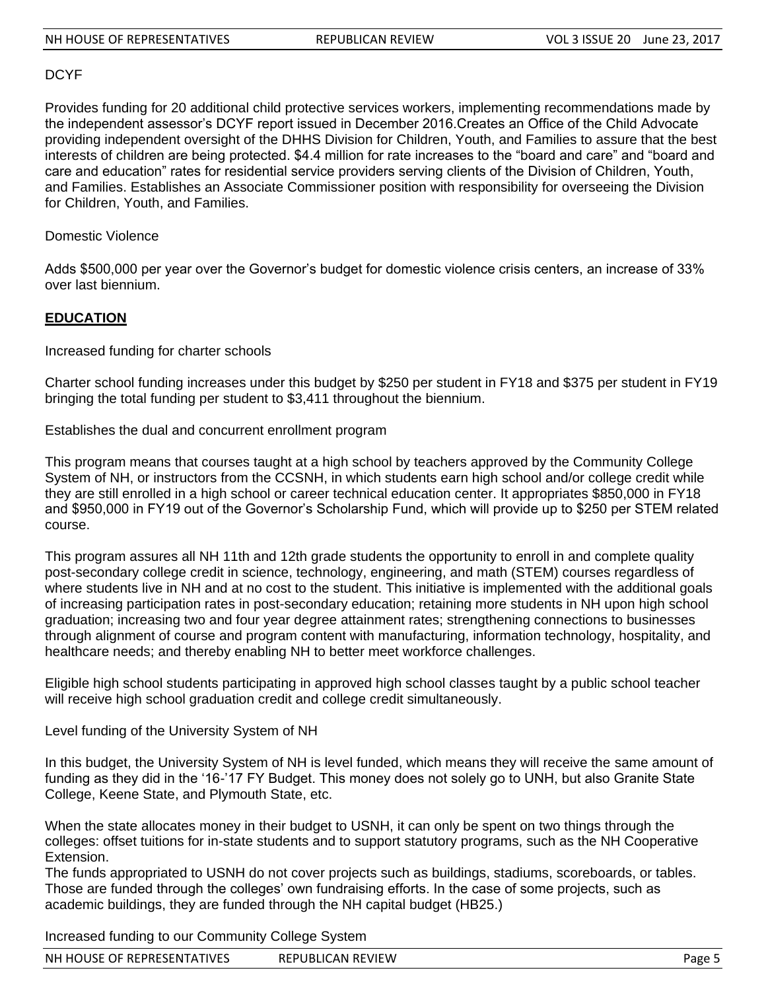#### DCYF

Provides funding for 20 additional child protective services workers, implementing recommendations made by the independent assessor's DCYF report issued in December 2016.Creates an Office of the Child Advocate providing independent oversight of the DHHS Division for Children, Youth, and Families to assure that the best interests of children are being protected. \$4.4 million for rate increases to the "board and care" and "board and care and education" rates for residential service providers serving clients of the Division of Children, Youth, and Families. Establishes an Associate Commissioner position with responsibility for overseeing the Division for Children, Youth, and Families.

Domestic Violence

Adds \$500,000 per year over the Governor's budget for domestic violence crisis centers, an increase of 33% over last biennium.

#### **EDUCATION**

Increased funding for charter schools

Charter school funding increases under this budget by \$250 per student in FY18 and \$375 per student in FY19 bringing the total funding per student to \$3,411 throughout the biennium.

Establishes the dual and concurrent enrollment program

This program means that courses taught at a high school by teachers approved by the Community College System of NH, or instructors from the CCSNH, in which students earn high school and/or college credit while they are still enrolled in a high school or career technical education center. It appropriates \$850,000 in FY18 and \$950,000 in FY19 out of the Governor's Scholarship Fund, which will provide up to \$250 per STEM related course.

This program assures all NH 11th and 12th grade students the opportunity to enroll in and complete quality post-secondary college credit in science, technology, engineering, and math (STEM) courses regardless of where students live in NH and at no cost to the student. This initiative is implemented with the additional goals of increasing participation rates in post-secondary education; retaining more students in NH upon high school graduation; increasing two and four year degree attainment rates; strengthening connections to businesses through alignment of course and program content with manufacturing, information technology, hospitality, and healthcare needs; and thereby enabling NH to better meet workforce challenges.

Eligible high school students participating in approved high school classes taught by a public school teacher will receive high school graduation credit and college credit simultaneously.

Level funding of the University System of NH

In this budget, the University System of NH is level funded, which means they will receive the same amount of funding as they did in the '16-'17 FY Budget. This money does not solely go to UNH, but also Granite State College, Keene State, and Plymouth State, etc.

When the state allocates money in their budget to USNH, it can only be spent on two things through the colleges: offset tuitions for in-state students and to support statutory programs, such as the NH Cooperative Extension.

The funds appropriated to USNH do not cover projects such as buildings, stadiums, scoreboards, or tables. Those are funded through the colleges' own fundraising efforts. In the case of some projects, such as academic buildings, they are funded through the NH capital budget (HB25.)

Increased funding to our Community College System

| NH HOUSE OF REPRESENTATIVES | <b>REPUBLICAN REVIEW</b> | Page 5 |
|-----------------------------|--------------------------|--------|
|-----------------------------|--------------------------|--------|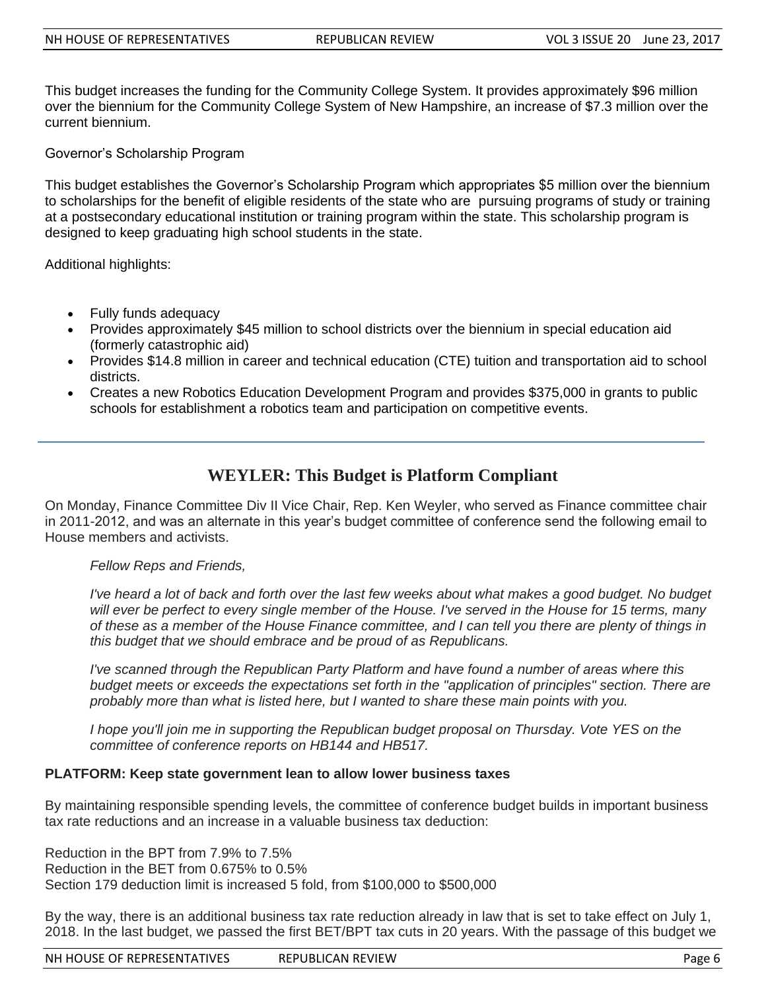This budget increases the funding for the Community College System. It provides approximately \$96 million over the biennium for the Community College System of New Hampshire, an increase of \$7.3 million over the current biennium.

Governor's Scholarship Program

This budget establishes the Governor's Scholarship Program which appropriates \$5 million over the biennium to scholarships for the benefit of eligible residents of the state who are pursuing programs of study or training at a postsecondary educational institution or training program within the state. This scholarship program is designed to keep graduating high school students in the state.

Additional highlights:

- Fully funds adequacy
- Provides approximately \$45 million to school districts over the biennium in special education aid (formerly catastrophic aid)
- Provides \$14.8 million in career and technical education (CTE) tuition and transportation aid to school districts.
- Creates a new Robotics Education Development Program and provides \$375,000 in grants to public schools for establishment a robotics team and participation on competitive events.

# **WEYLER: This Budget is Platform Compliant**

On Monday, Finance Committee Div II Vice Chair, Rep. Ken Weyler, who served as Finance committee chair in 2011-2012, and was an alternate in this year's budget committee of conference send the following email to House members and activists.

#### *Fellow Reps and Friends,*

*I've heard a lot of back and forth over the last few weeks about what makes a good budget. No budget will ever be perfect to every single member of the House. I've served in the House for 15 terms, many of these as a member of the House Finance committee, and I can tell you there are plenty of things in this budget that we should embrace and be proud of as Republicans.*

*I've scanned through the Republican Party Platform and have found a number of areas where this budget meets or exceeds the expectations set forth in the "application of principles" section. There are probably more than what is listed here, but I wanted to share these main points with you.*

*I hope you'll join me in supporting the Republican budget proposal on Thursday. Vote YES on the committee of conference reports on HB144 and HB517.*

#### **PLATFORM: Keep state government lean to allow lower business taxes**

By maintaining responsible spending levels, the committee of conference budget builds in important business tax rate reductions and an increase in a valuable business tax deduction:

Reduction in the BPT from 7.9% to 7.5% Reduction in the BET from 0.675% to 0.5% Section 179 deduction limit is increased 5 fold, from \$100,000 to \$500,000

By the way, there is an additional business tax rate reduction already in law that is set to take effect on July 1, 2018. In the last budget, we passed the first BET/BPT tax cuts in 20 years. With the passage of this budget we